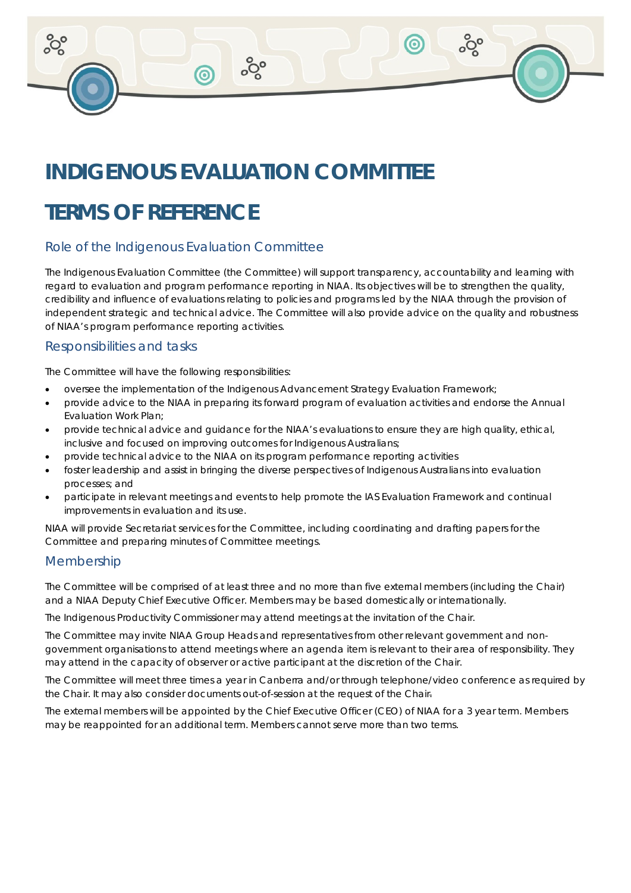# **INDIGENOUS EVALUATION COMMITTEE**

ၜ**ႜ** 

## **TERMS OF REFERENCE**

## Role of the Indigenous Evaluation Committee

The Indigenous Evaluation Committee (the Committee) will support transparency, accountability and learning with regard to evaluation and program performance reporting in NIAA. Its objectives will be to strengthen the quality, credibility and influence of evaluations relating to policies and programs led by the NIAA through the provision of independent strategic and technical advice. The Committee will also provide advice on the quality and robustness of NIAA's program performance reporting activities.

တွိ

 $\circledcirc$ 

#### Responsibilities and tasks

The Committee will have the following responsibilities:

- oversee the implementation of the Indigenous Advancement Strategy Evaluation Framework;
- provide advice to the NIAA in preparing its forward program of evaluation activities and endorse the Annual Evaluation Work Plan;
- provide technical advice and guidance for the NIAA's evaluations to ensure they are high quality, ethical, inclusive and focused on improving outcomes for Indigenous Australians;
- provide technical advice to the NIAA on its program performance reporting activities
- foster leadership and assist in bringing the diverse perspectives of Indigenous Australians into evaluation processes; and
- participate in relevant meetings and events to help promote the IAS Evaluation Framework and continual improvements in evaluation and its use.

NIAA will provide Secretariat services for the Committee, including coordinating and drafting papers for the Committee and preparing minutes of Committee meetings.

#### Membership

The Committee will be comprised of at least three and no more than five external members (including the Chair) and a NIAA Deputy Chief Executive Officer. Members may be based domestically or internationally.

The Indigenous Productivity Commissioner may attend meetings at the invitation of the Chair.

The Committee may invite NIAA Group Heads and representatives from other relevant government and nongovernment organisations to attend meetings where an agenda item is relevant to their area of responsibility. They may attend in the capacity of observer or active participant at the discretion of the Chair.

The Committee will meet three times a year in Canberra and/or through telephone/video conference as required by the Chair. It may also consider documents out-of-session at the request of the Chair.

The external members will be appointed by the Chief Executive Officer (CEO) of NIAA for a 3 year term. Members may be reappointed for an additional term. Members cannot serve more than two terms.